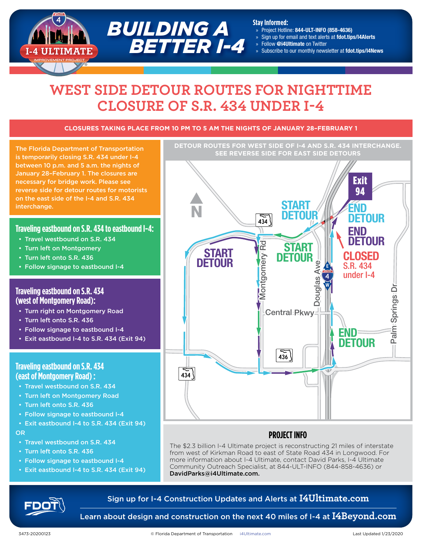# **WEST SIDE DETOUR ROUTES FOR NIGHTTIME CLOSURE OF S.R. 434 UNDER I-4**

*BUILDING A*

 *BETTER I-4*

#### **CLOSURES TAKING PLACE FROM 10 PM TO 5 AM THE NIGHTS OF JANUARY 28–FEBRUARY 1**

**SEE REVERSE SIDE OF 1-4 AND S.R. 454 IN**<br>SEE REVERSE SIDE FOR EAST SIDE DETOURS is temporarily closing S.R. 434 under I-4 between 10 p.m. and 5 a.m. the nights of January 28–February 1. The closures are necessary for bridge work. Please see reverse side for detour routes for motorists on the east side of the I-4 and S.R. 434 interchange.

#### **Traveling eastbound on S.R. 434 to eastbound I-4:**

- Travel westbound on S.R. 434
- Turn left on Montgomery
- Turn left onto S.R. 436
- Follow signage to eastbound I-4

#### **Traveling eastbound on S.R. 434 (west of Montgomery Road):**

- Turn right on Montgomery Road
- Turn left onto S.R. 436
- Follow signage to eastbound I-4
- Exit eastbound I-4 to S.R. 434 (Exit 94)

#### **Traveling eastbound on S.R. 434 (east of Montgomery Road) :**

- Travel westbound on S.R. 434
- Turn left on Montgomery Road
- Turn left onto S.R. 436
- Follow signage to eastbound I-4
- Exit eastbound I-4 to S.R. 434 (Exit 94) OR
- Travel westbound on S.R. 434
- Turn left onto S.R. 436
- Follow signage to eastbound I-4
- Exit eastbound I-4 to S.R. 434 (Exit 94)



**Stay Informed:**

» Project Hotline: 844-ULT-INFO (858-4636) » Sign up for email and text alerts at fdot.tips/I4Alerts

» Subscribe to our monthly newsletter at fdot.tips/I4News

» Follow @i4Ultimate on Twitter

**DETOUR ROUTES FOR WEST SIDE OF I-4 AND S.R. 434 INTERCHANGE.** 

#### Last Modified: 20200123 **PROJECT INFO**

The \$2.3 billion I-4 Ultimate project is reconstructing 21 miles of interstate from west of Kirkman Road to east of State Road 434 in Longwood. For more information about I-4 Ultimate, contact David Parks, I-4 Ultimate Community Outreach Specialist, at 844-ULT-INFO (844-858-4636) or DavidParks@i4Ultimate.com.

### Sign up for I-4 Construction Updates and Alerts at **I4Ultimate.com**

Learn about design and construction on the next 40 miles of I-4 at **I4Beyond.com**